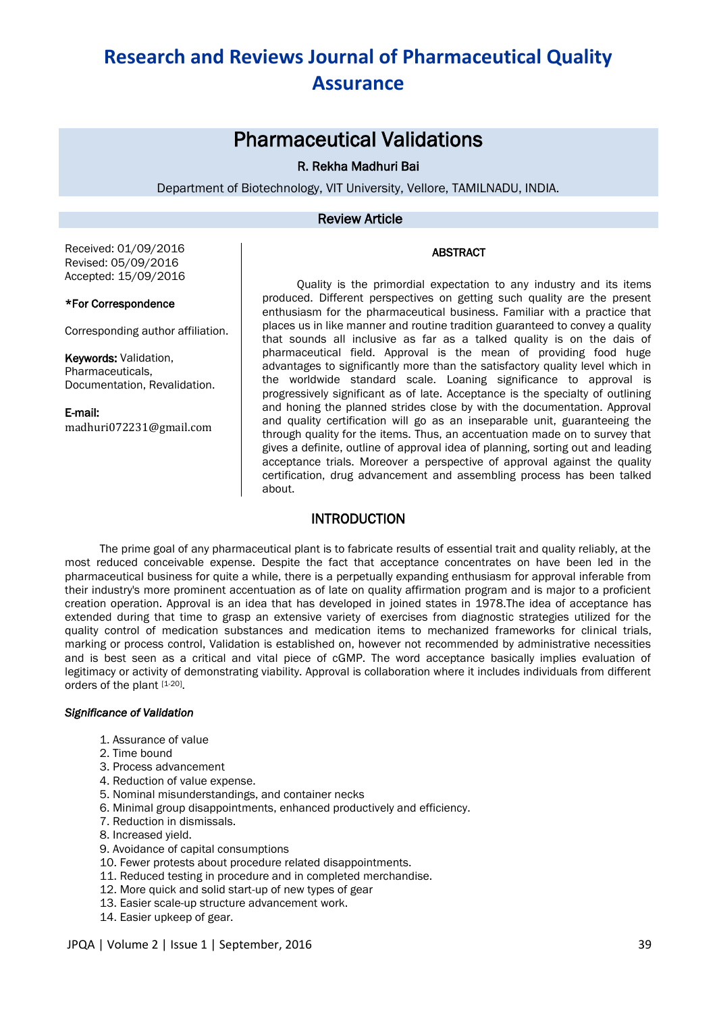## Pharmaceutical Validations

## R. Rekha Madhuri Bai

Department of Biotechnology, VIT University, Vellore, TAMILNADU, INDIA.

## Review Article

### ABSTRACT

Received: 01/09/2016 Revised: 05/09/2016 Accepted: 15/09/2016

#### \*For Correspondence

Corresponding author affiliation.

Keywords: Validation, Pharmaceuticals, Documentation, Revalidation.

E-mail: madhuri072231@gmail.com

Quality is the primordial expectation to any industry and its items produced. Different perspectives on getting such quality are the present enthusiasm for the pharmaceutical business. Familiar with a practice that places us in like manner and routine tradition guaranteed to convey a quality that sounds all inclusive as far as a talked quality is on the dais of pharmaceutical field. Approval is the mean of providing food huge advantages to significantly more than the satisfactory quality level which in the worldwide standard scale. Loaning significance to approval is progressively significant as of late. Acceptance is the specialty of outlining and honing the planned strides close by with the documentation. Approval and quality certification will go as an inseparable unit, guaranteeing the through quality for the items. Thus, an accentuation made on to survey that gives a definite, outline of approval idea of planning, sorting out and leading acceptance trials. Moreover a perspective of approval against the quality certification, drug advancement and assembling process has been talked about.

## INTRODUCTION

The prime goal of any pharmaceutical plant is to fabricate results of essential trait and quality reliably, at the most reduced conceivable expense. Despite the fact that acceptance concentrates on have been led in the pharmaceutical business for quite a while, there is a perpetually expanding enthusiasm for approval inferable from their industry's more prominent accentuation as of late on quality affirmation program and is major to a proficient creation operation. Approval is an idea that has developed in joined states in 1978.The idea of acceptance has extended during that time to grasp an extensive variety of exercises from diagnostic strategies utilized for the quality control of medication substances and medication items to mechanized frameworks for clinical trials, marking or process control, Validation is established on, however not recommended by administrative necessities and is best seen as a critical and vital piece of cGMP. The word acceptance basically implies evaluation of legitimacy or activity of demonstrating viability. Approval is collaboration where it includes individuals from different orders of the plant [1-20].

### *Significance of Validation*

- 1. Assurance of value
- 2. Time bound
- 3. Process advancement
- 4. Reduction of value expense.
- 5. Nominal misunderstandings, and container necks
- 6. Minimal group disappointments, enhanced productively and efficiency.
- 7. Reduction in dismissals.
- 8. Increased yield.
- 9. Avoidance of capital consumptions
- 10. Fewer protests about procedure related disappointments.
- 11. Reduced testing in procedure and in completed merchandise.
- 12. More quick and solid start-up of new types of gear
- 13. Easier scale-up structure advancement work.
- 14. Easier upkeep of gear.

JPQA | Volume 2 | Issue 1 | September, 2016 39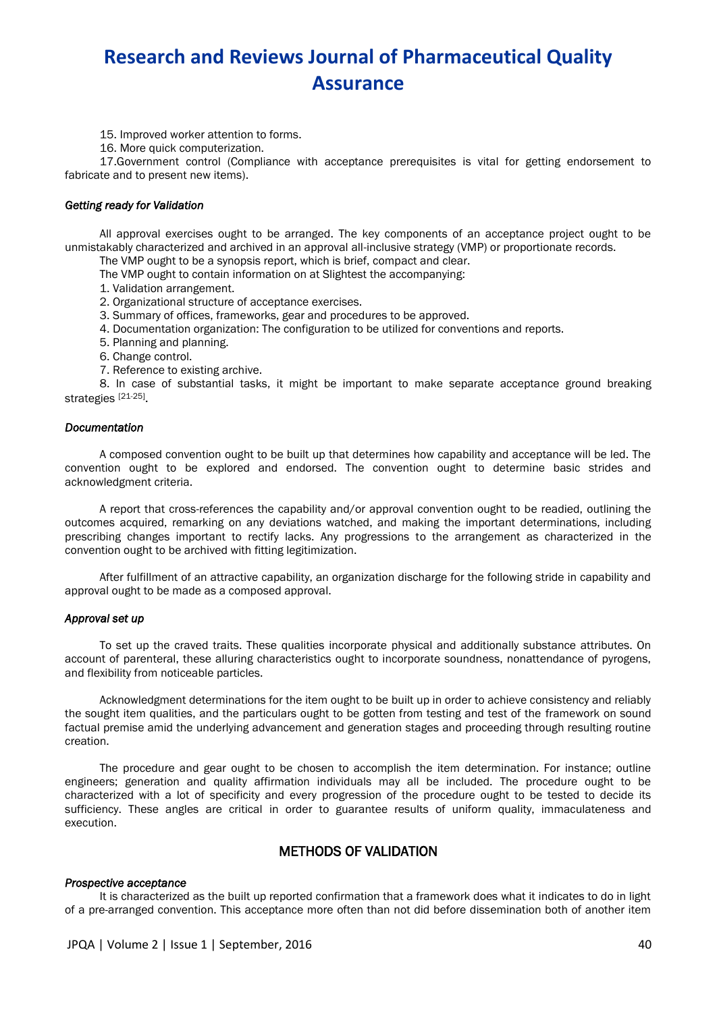15. Improved worker attention to forms.

16. More quick computerization.

17.Government control (Compliance with acceptance prerequisites is vital for getting endorsement to fabricate and to present new items).

#### *Getting ready for Validation*

All approval exercises ought to be arranged. The key components of an acceptance project ought to be unmistakably characterized and archived in an approval all-inclusive strategy (VMP) or proportionate records.

The VMP ought to be a synopsis report, which is brief, compact and clear.

The VMP ought to contain information on at Slightest the accompanying:

1. Validation arrangement.

2. Organizational structure of acceptance exercises.

3. Summary of offices, frameworks, gear and procedures to be approved.

4. Documentation organization: The configuration to be utilized for conventions and reports.

- 5. Planning and planning.
- 6. Change control.
- 7. Reference to existing archive.

8. In case of substantial tasks, it might be important to make separate acceptance ground breaking strategies [21-25].

#### *Documentation*

A composed convention ought to be built up that determines how capability and acceptance will be led. The convention ought to be explored and endorsed. The convention ought to determine basic strides and acknowledgment criteria.

A report that cross-references the capability and/or approval convention ought to be readied, outlining the outcomes acquired, remarking on any deviations watched, and making the important determinations, including prescribing changes important to rectify lacks. Any progressions to the arrangement as characterized in the convention ought to be archived with fitting legitimization.

After fulfillment of an attractive capability, an organization discharge for the following stride in capability and approval ought to be made as a composed approval.

#### *Approval set up*

To set up the craved traits. These qualities incorporate physical and additionally substance attributes. On account of parenteral, these alluring characteristics ought to incorporate soundness, nonattendance of pyrogens, and flexibility from noticeable particles.

Acknowledgment determinations for the item ought to be built up in order to achieve consistency and reliably the sought item qualities, and the particulars ought to be gotten from testing and test of the framework on sound factual premise amid the underlying advancement and generation stages and proceeding through resulting routine creation.

The procedure and gear ought to be chosen to accomplish the item determination. For instance; outline engineers; generation and quality affirmation individuals may all be included. The procedure ought to be characterized with a lot of specificity and every progression of the procedure ought to be tested to decide its sufficiency. These angles are critical in order to guarantee results of uniform quality, immaculateness and execution.

## METHODS OF VALIDATION

#### *Prospective acceptance*

It is characterized as the built up reported confirmation that a framework does what it indicates to do in light of a pre-arranged convention. This acceptance more often than not did before dissemination both of another item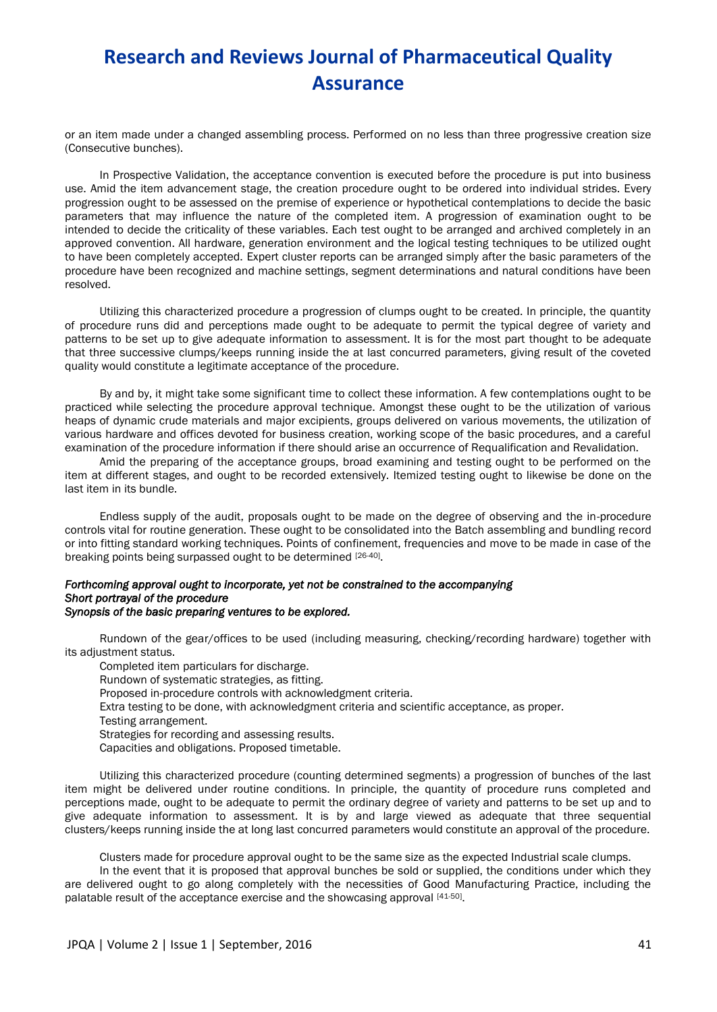or an item made under a changed assembling process. Performed on no less than three progressive creation size (Consecutive bunches).

In Prospective Validation, the acceptance convention is executed before the procedure is put into business use. Amid the item advancement stage, the creation procedure ought to be ordered into individual strides. Every progression ought to be assessed on the premise of experience or hypothetical contemplations to decide the basic parameters that may influence the nature of the completed item. A progression of examination ought to be intended to decide the criticality of these variables. Each test ought to be arranged and archived completely in an approved convention. All hardware, generation environment and the logical testing techniques to be utilized ought to have been completely accepted. Expert cluster reports can be arranged simply after the basic parameters of the procedure have been recognized and machine settings, segment determinations and natural conditions have been resolved.

Utilizing this characterized procedure a progression of clumps ought to be created. In principle, the quantity of procedure runs did and perceptions made ought to be adequate to permit the typical degree of variety and patterns to be set up to give adequate information to assessment. It is for the most part thought to be adequate that three successive clumps/keeps running inside the at last concurred parameters, giving result of the coveted quality would constitute a legitimate acceptance of the procedure.

By and by, it might take some significant time to collect these information. A few contemplations ought to be practiced while selecting the procedure approval technique. Amongst these ought to be the utilization of various heaps of dynamic crude materials and major excipients, groups delivered on various movements, the utilization of various hardware and offices devoted for business creation, working scope of the basic procedures, and a careful examination of the procedure information if there should arise an occurrence of Requalification and Revalidation.

Amid the preparing of the acceptance groups, broad examining and testing ought to be performed on the item at different stages, and ought to be recorded extensively. Itemized testing ought to likewise be done on the last item in its bundle.

Endless supply of the audit, proposals ought to be made on the degree of observing and the in-procedure controls vital for routine generation. These ought to be consolidated into the Batch assembling and bundling record or into fitting standard working techniques. Points of confinement, frequencies and move to be made in case of the breaking points being surpassed ought to be determined [26-40].

#### *Forthcoming approval ought to incorporate, yet not be constrained to the accompanying Short portrayal of the procedure Synopsis of the basic preparing ventures to be explored.*

Rundown of the gear/offices to be used (including measuring, checking/recording hardware) together with its adjustment status.

Completed item particulars for discharge.

Rundown of systematic strategies, as fitting.

Proposed in-procedure controls with acknowledgment criteria.

- Extra testing to be done, with acknowledgment criteria and scientific acceptance, as proper.
- Testing arrangement.

Strategies for recording and assessing results.

Capacities and obligations. Proposed timetable.

Utilizing this characterized procedure (counting determined segments) a progression of bunches of the last item might be delivered under routine conditions. In principle, the quantity of procedure runs completed and perceptions made, ought to be adequate to permit the ordinary degree of variety and patterns to be set up and to give adequate information to assessment. It is by and large viewed as adequate that three sequential clusters/keeps running inside the at long last concurred parameters would constitute an approval of the procedure.

Clusters made for procedure approval ought to be the same size as the expected Industrial scale clumps.

In the event that it is proposed that approval bunches be sold or supplied, the conditions under which they are delivered ought to go along completely with the necessities of Good Manufacturing Practice, including the palatable result of the acceptance exercise and the showcasing approval [41-50].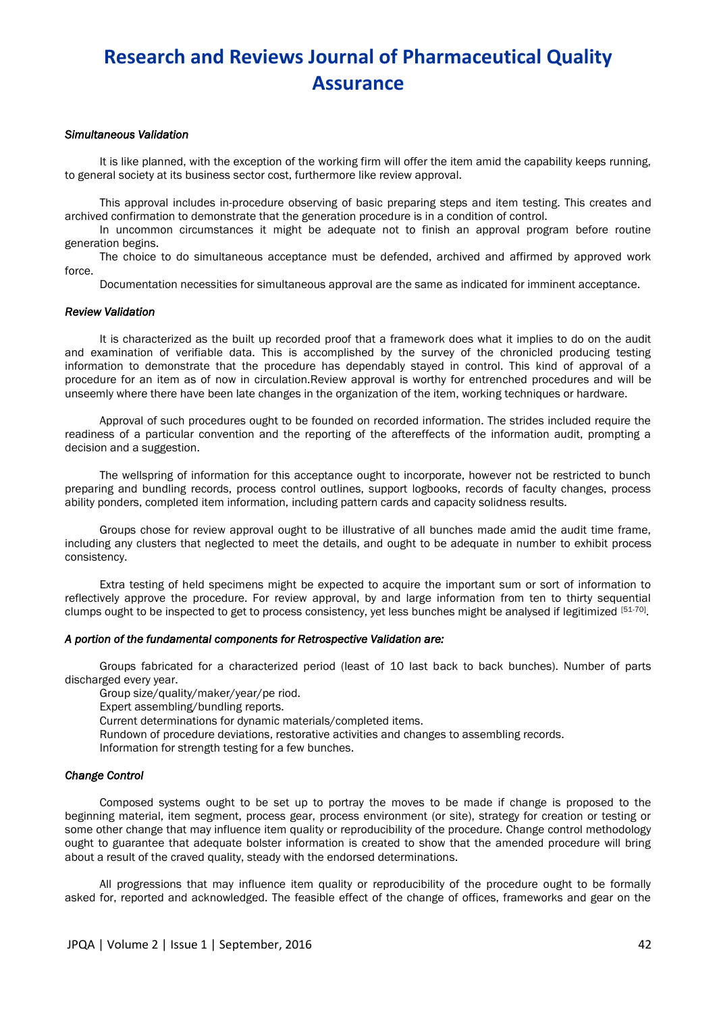#### *Simultaneous Validation*

It is like planned, with the exception of the working firm will offer the item amid the capability keeps running, to general society at its business sector cost, furthermore like review approval.

This approval includes in-procedure observing of basic preparing steps and item testing. This creates and archived confirmation to demonstrate that the generation procedure is in a condition of control.

In uncommon circumstances it might be adequate not to finish an approval program before routine generation begins.

The choice to do simultaneous acceptance must be defended, archived and affirmed by approved work force.

Documentation necessities for simultaneous approval are the same as indicated for imminent acceptance.

#### *Review Validation*

It is characterized as the built up recorded proof that a framework does what it implies to do on the audit and examination of verifiable data. This is accomplished by the survey of the chronicled producing testing information to demonstrate that the procedure has dependably stayed in control. This kind of approval of a procedure for an item as of now in circulation.Review approval is worthy for entrenched procedures and will be unseemly where there have been late changes in the organization of the item, working techniques or hardware.

Approval of such procedures ought to be founded on recorded information. The strides included require the readiness of a particular convention and the reporting of the aftereffects of the information audit, prompting a decision and a suggestion.

The wellspring of information for this acceptance ought to incorporate, however not be restricted to bunch preparing and bundling records, process control outlines, support logbooks, records of faculty changes, process ability ponders, completed item information, including pattern cards and capacity solidness results.

Groups chose for review approval ought to be illustrative of all bunches made amid the audit time frame, including any clusters that neglected to meet the details, and ought to be adequate in number to exhibit process consistency.

Extra testing of held specimens might be expected to acquire the important sum or sort of information to reflectively approve the procedure. For review approval, by and large information from ten to thirty sequential clumps ought to be inspected to get to process consistency, yet less bunches might be analysed if legitimized [51-70].

### *A portion of the fundamental components for Retrospective Validation are:*

Groups fabricated for a characterized period (least of 10 last back to back bunches). Number of parts discharged every year.

Group size/quality/maker/year/pe riod.

Expert assembling/bundling reports.

Current determinations for dynamic materials/completed items.

Rundown of procedure deviations, restorative activities and changes to assembling records.

Information for strength testing for a few bunches.

#### *Change Control*

Composed systems ought to be set up to portray the moves to be made if change is proposed to the beginning material, item segment, process gear, process environment (or site), strategy for creation or testing or some other change that may influence item quality or reproducibility of the procedure. Change control methodology ought to guarantee that adequate bolster information is created to show that the amended procedure will bring about a result of the craved quality, steady with the endorsed determinations.

All progressions that may influence item quality or reproducibility of the procedure ought to be formally asked for, reported and acknowledged. The feasible effect of the change of offices, frameworks and gear on the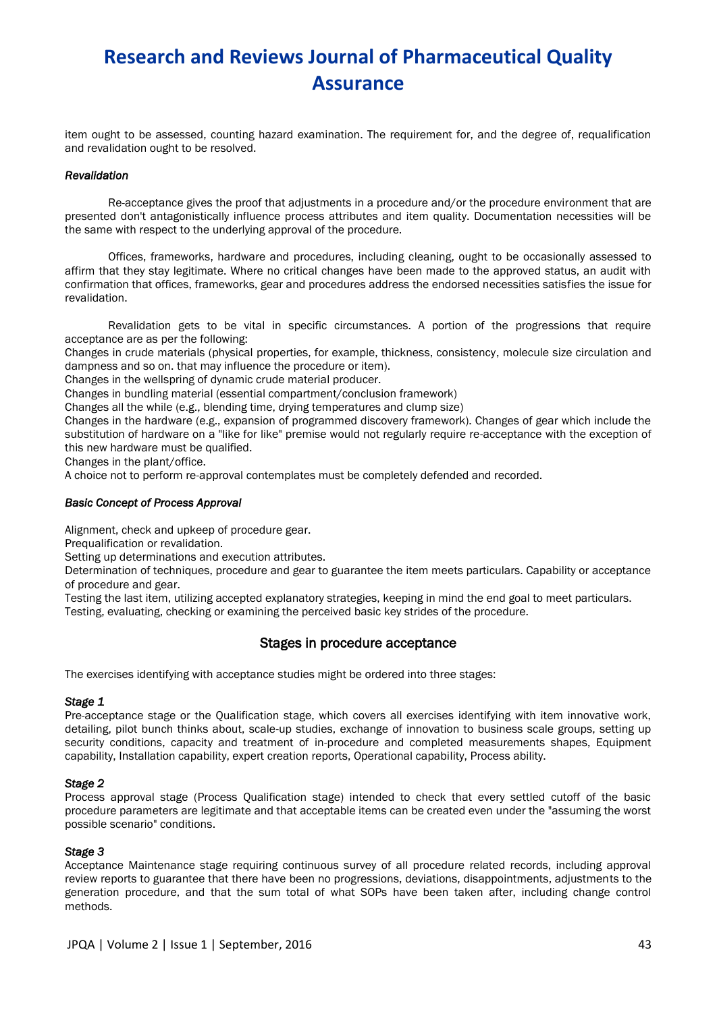item ought to be assessed, counting hazard examination. The requirement for, and the degree of, requalification and revalidation ought to be resolved.

### *Revalidation*

Re-acceptance gives the proof that adjustments in a procedure and/or the procedure environment that are presented don't antagonistically influence process attributes and item quality. Documentation necessities will be the same with respect to the underlying approval of the procedure.

Offices, frameworks, hardware and procedures, including cleaning, ought to be occasionally assessed to affirm that they stay legitimate. Where no critical changes have been made to the approved status, an audit with confirmation that offices, frameworks, gear and procedures address the endorsed necessities satisfies the issue for revalidation.

Revalidation gets to be vital in specific circumstances. A portion of the progressions that require acceptance are as per the following:

Changes in crude materials (physical properties, for example, thickness, consistency, molecule size circulation and dampness and so on. that may influence the procedure or item).

Changes in the wellspring of dynamic crude material producer.

Changes in bundling material (essential compartment/conclusion framework)

Changes all the while (e.g., blending time, drying temperatures and clump size)

Changes in the hardware (e.g., expansion of programmed discovery framework). Changes of gear which include the substitution of hardware on a "like for like" premise would not regularly require re-acceptance with the exception of this new hardware must be qualified.

Changes in the plant/office.

A choice not to perform re-approval contemplates must be completely defended and recorded.

### *Basic Concept of Process Approval*

Alignment, check and upkeep of procedure gear.

Prequalification or revalidation.

Setting up determinations and execution attributes.

Determination of techniques, procedure and gear to guarantee the item meets particulars. Capability or acceptance of procedure and gear.

Testing the last item, utilizing accepted explanatory strategies, keeping in mind the end goal to meet particulars. Testing, evaluating, checking or examining the perceived basic key strides of the procedure.

## Stages in procedure acceptance

The exercises identifying with acceptance studies might be ordered into three stages:

### *Stage 1*

Pre-acceptance stage or the Qualification stage, which covers all exercises identifying with item innovative work, detailing, pilot bunch thinks about, scale-up studies, exchange of innovation to business scale groups, setting up security conditions, capacity and treatment of in-procedure and completed measurements shapes, Equipment capability, Installation capability, expert creation reports, Operational capability, Process ability.

### *Stage 2*

Process approval stage (Process Qualification stage) intended to check that every settled cutoff of the basic procedure parameters are legitimate and that acceptable items can be created even under the "assuming the worst possible scenario" conditions.

### *Stage 3*

Acceptance Maintenance stage requiring continuous survey of all procedure related records, including approval review reports to guarantee that there have been no progressions, deviations, disappointments, adjustments to the generation procedure, and that the sum total of what SOPs have been taken after, including change control methods.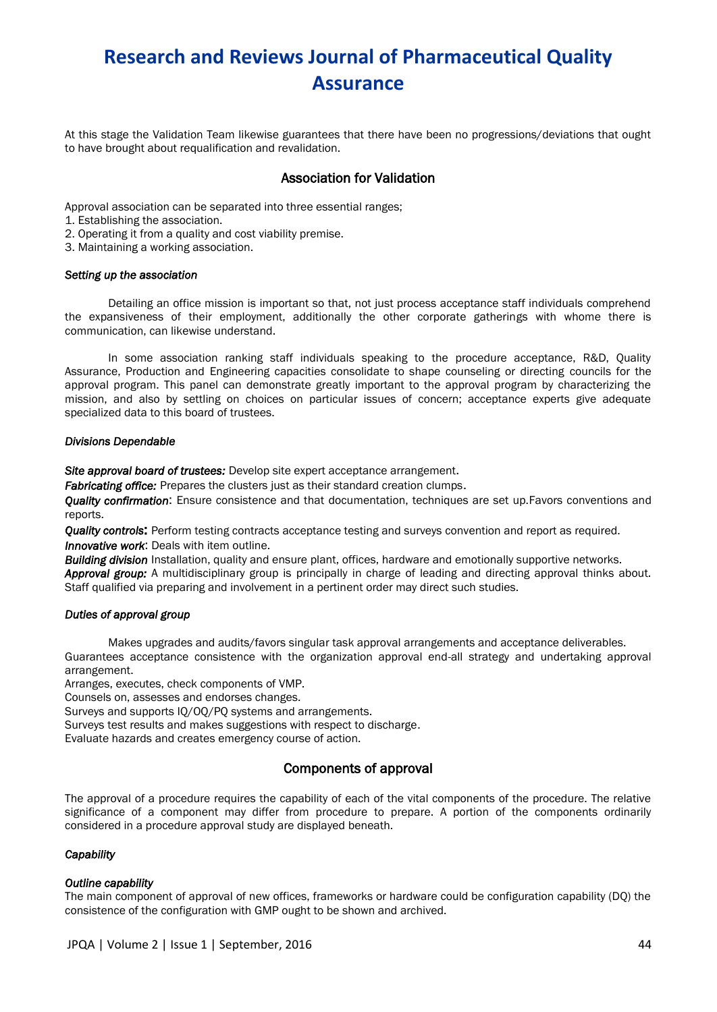At this stage the Validation Team likewise guarantees that there have been no progressions/deviations that ought to have brought about requalification and revalidation.

## Association for Validation

Approval association can be separated into three essential ranges;

1. Establishing the association.

2. Operating it from a quality and cost viability premise.

3. Maintaining a working association.

#### *Setting up the association*

Detailing an office mission is important so that, not just process acceptance staff individuals comprehend the expansiveness of their employment, additionally the other corporate gatherings with whome there is communication, can likewise understand.

In some association ranking staff individuals speaking to the procedure acceptance, R&D, Quality Assurance, Production and Engineering capacities consolidate to shape counseling or directing councils for the approval program. This panel can demonstrate greatly important to the approval program by characterizing the mission, and also by settling on choices on particular issues of concern; acceptance experts give adequate specialized data to this board of trustees.

### *Divisions Dependable*

*Site approval board of trustees:* Develop site expert acceptance arrangement.

*Fabricating office:* Prepares the clusters just as their standard creation clumps.

*Quality confirmation*: Ensure consistence and that documentation, techniques are set up.Favors conventions and reports.

*Quality controls*: Perform testing contracts acceptance testing and surveys convention and report as required. *Innovative work*: Deals with item outline.

*Building division* Installation, quality and ensure plant, offices, hardware and emotionally supportive networks. *Approval group:* A multidisciplinary group is principally in charge of leading and directing approval thinks about. Staff qualified via preparing and involvement in a pertinent order may direct such studies.

### *Duties of approval group*

Makes upgrades and audits/favors singular task approval arrangements and acceptance deliverables. Guarantees acceptance consistence with the organization approval end-all strategy and undertaking approval arrangement.

Arranges, executes, check components of VMP.

Counsels on, assesses and endorses changes.

Surveys and supports IQ/OQ/PQ systems and arrangements.

Surveys test results and makes suggestions with respect to discharge.

Evaluate hazards and creates emergency course of action.

## Components of approval

The approval of a procedure requires the capability of each of the vital components of the procedure. The relative significance of a component may differ from procedure to prepare. A portion of the components ordinarily considered in a procedure approval study are displayed beneath.

### *Capability*

### *Outline capability*

The main component of approval of new offices, frameworks or hardware could be configuration capability (DQ) the consistence of the configuration with GMP ought to be shown and archived.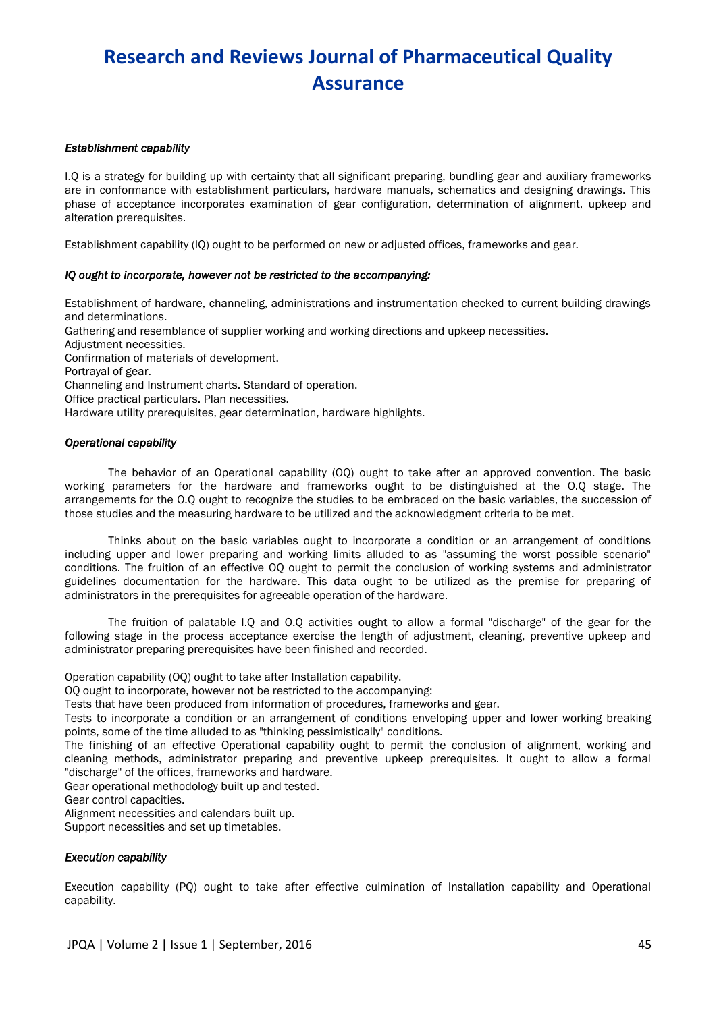### *Establishment capability*

I.Q is a strategy for building up with certainty that all significant preparing, bundling gear and auxiliary frameworks are in conformance with establishment particulars, hardware manuals, schematics and designing drawings. This phase of acceptance incorporates examination of gear configuration, determination of alignment, upkeep and alteration prerequisites.

Establishment capability (IQ) ought to be performed on new or adjusted offices, frameworks and gear.

### *IQ ought to incorporate, however not be restricted to the accompanying:*

Establishment of hardware, channeling, administrations and instrumentation checked to current building drawings and determinations. Gathering and resemblance of supplier working and working directions and upkeep necessities. Adjustment necessities. Confirmation of materials of development. Portrayal of gear. Channeling and Instrument charts. Standard of operation. Office practical particulars. Plan necessities. Hardware utility prerequisites, gear determination, hardware highlights.

## *Operational capability*

The behavior of an Operational capability (OQ) ought to take after an approved convention. The basic working parameters for the hardware and frameworks ought to be distinguished at the O.Q stage. The arrangements for the O.Q ought to recognize the studies to be embraced on the basic variables, the succession of those studies and the measuring hardware to be utilized and the acknowledgment criteria to be met.

Thinks about on the basic variables ought to incorporate a condition or an arrangement of conditions including upper and lower preparing and working limits alluded to as "assuming the worst possible scenario" conditions. The fruition of an effective OQ ought to permit the conclusion of working systems and administrator guidelines documentation for the hardware. This data ought to be utilized as the premise for preparing of administrators in the prerequisites for agreeable operation of the hardware.

The fruition of palatable I.Q and O.Q activities ought to allow a formal "discharge" of the gear for the following stage in the process acceptance exercise the length of adjustment, cleaning, preventive upkeep and administrator preparing prerequisites have been finished and recorded.

Operation capability (OQ) ought to take after Installation capability.

OQ ought to incorporate, however not be restricted to the accompanying:

Tests that have been produced from information of procedures, frameworks and gear.

Tests to incorporate a condition or an arrangement of conditions enveloping upper and lower working breaking points, some of the time alluded to as "thinking pessimistically" conditions.

The finishing of an effective Operational capability ought to permit the conclusion of alignment, working and cleaning methods, administrator preparing and preventive upkeep prerequisites. It ought to allow a formal "discharge" of the offices, frameworks and hardware.

Gear operational methodology built up and tested.

Gear control capacities.

Alignment necessities and calendars built up.

Support necessities and set up timetables.

### *Execution capability*

Execution capability (PQ) ought to take after effective culmination of Installation capability and Operational capability.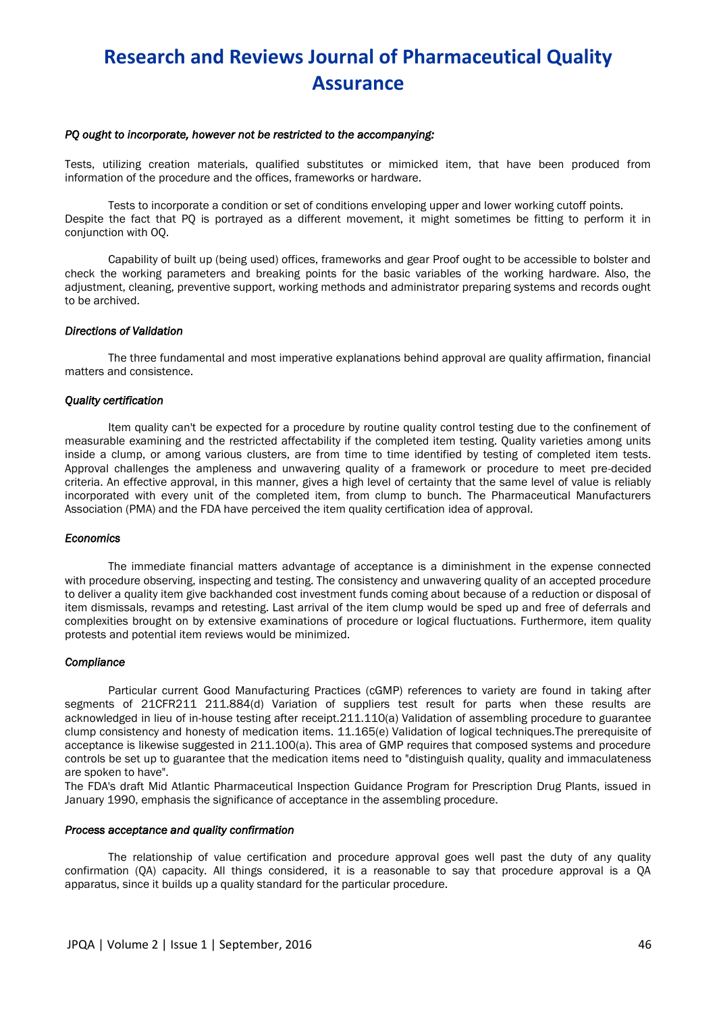#### *PQ ought to incorporate, however not be restricted to the accompanying:*

Tests, utilizing creation materials, qualified substitutes or mimicked item, that have been produced from information of the procedure and the offices, frameworks or hardware.

Tests to incorporate a condition or set of conditions enveloping upper and lower working cutoff points. Despite the fact that PQ is portrayed as a different movement, it might sometimes be fitting to perform it in conjunction with OQ.

Capability of built up (being used) offices, frameworks and gear Proof ought to be accessible to bolster and check the working parameters and breaking points for the basic variables of the working hardware. Also, the adjustment, cleaning, preventive support, working methods and administrator preparing systems and records ought to be archived.

#### *Directions of Validation*

The three fundamental and most imperative explanations behind approval are quality affirmation, financial matters and consistence.

#### *Quality certification*

Item quality can't be expected for a procedure by routine quality control testing due to the confinement of measurable examining and the restricted affectability if the completed item testing. Quality varieties among units inside a clump, or among various clusters, are from time to time identified by testing of completed item tests. Approval challenges the ampleness and unwavering quality of a framework or procedure to meet pre-decided criteria. An effective approval, in this manner, gives a high level of certainty that the same level of value is reliably incorporated with every unit of the completed item, from clump to bunch. The Pharmaceutical Manufacturers Association (PMA) and the FDA have perceived the item quality certification idea of approval.

#### *Economics*

The immediate financial matters advantage of acceptance is a diminishment in the expense connected with procedure observing, inspecting and testing. The consistency and unwavering quality of an accepted procedure to deliver a quality item give backhanded cost investment funds coming about because of a reduction or disposal of item dismissals, revamps and retesting. Last arrival of the item clump would be sped up and free of deferrals and complexities brought on by extensive examinations of procedure or logical fluctuations. Furthermore, item quality protests and potential item reviews would be minimized.

#### *Compliance*

Particular current Good Manufacturing Practices (cGMP) references to variety are found in taking after segments of 21CFR211 211.884(d) Variation of suppliers test result for parts when these results are acknowledged in lieu of in-house testing after receipt.211.110(a) Validation of assembling procedure to guarantee clump consistency and honesty of medication items. 11.165(e) Validation of logical techniques.The prerequisite of acceptance is likewise suggested in 211.100(a). This area of GMP requires that composed systems and procedure controls be set up to guarantee that the medication items need to "distinguish quality, quality and immaculateness are spoken to have".

The FDA's draft Mid Atlantic Pharmaceutical Inspection Guidance Program for Prescription Drug Plants, issued in January 1990, emphasis the significance of acceptance in the assembling procedure.

#### *Process acceptance and quality confirmation*

The relationship of value certification and procedure approval goes well past the duty of any quality confirmation (QA) capacity. All things considered, it is a reasonable to say that procedure approval is a QA apparatus, since it builds up a quality standard for the particular procedure.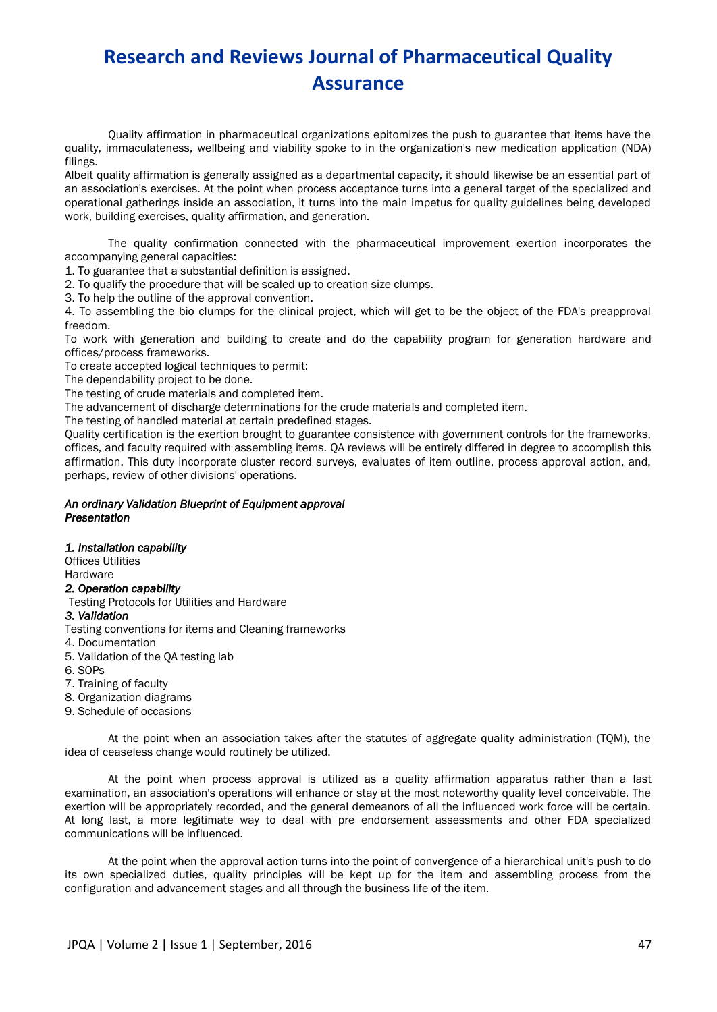Quality affirmation in pharmaceutical organizations epitomizes the push to guarantee that items have the quality, immaculateness, wellbeing and viability spoke to in the organization's new medication application (NDA) filings.

Albeit quality affirmation is generally assigned as a departmental capacity, it should likewise be an essential part of an association's exercises. At the point when process acceptance turns into a general target of the specialized and operational gatherings inside an association, it turns into the main impetus for quality guidelines being developed work, building exercises, quality affirmation, and generation.

The quality confirmation connected with the pharmaceutical improvement exertion incorporates the accompanying general capacities:

1. To guarantee that a substantial definition is assigned.

2. To qualify the procedure that will be scaled up to creation size clumps.

3. To help the outline of the approval convention.

4. To assembling the bio clumps for the clinical project, which will get to be the object of the FDA's preapproval freedom.

To work with generation and building to create and do the capability program for generation hardware and offices/process frameworks.

To create accepted logical techniques to permit:

The dependability project to be done.

The testing of crude materials and completed item.

The advancement of discharge determinations for the crude materials and completed item.

The testing of handled material at certain predefined stages.

Quality certification is the exertion brought to guarantee consistence with government controls for the frameworks, offices, and faculty required with assembling items. QA reviews will be entirely differed in degree to accomplish this affirmation. This duty incorporate cluster record surveys, evaluates of item outline, process approval action, and, perhaps, review of other divisions' operations.

#### *An ordinary Validation Blueprint of Equipment approval Presentation*

### *1. Installation capability*

Offices Utilities

Hardware

## *2. Operation capability*

Testing Protocols for Utilities and Hardware

## *3. Validation*

Testing conventions for items and Cleaning frameworks

4. Documentation

- 5. Validation of the QA testing lab
- 6. SOPs
- 7. Training of faculty

8. Organization diagrams

9. Schedule of occasions

At the point when an association takes after the statutes of aggregate quality administration (TQM), the idea of ceaseless change would routinely be utilized.

At the point when process approval is utilized as a quality affirmation apparatus rather than a last examination, an association's operations will enhance or stay at the most noteworthy quality level conceivable. The exertion will be appropriately recorded, and the general demeanors of all the influenced work force will be certain. At long last, a more legitimate way to deal with pre endorsement assessments and other FDA specialized communications will be influenced.

At the point when the approval action turns into the point of convergence of a hierarchical unit's push to do its own specialized duties, quality principles will be kept up for the item and assembling process from the configuration and advancement stages and all through the business life of the item.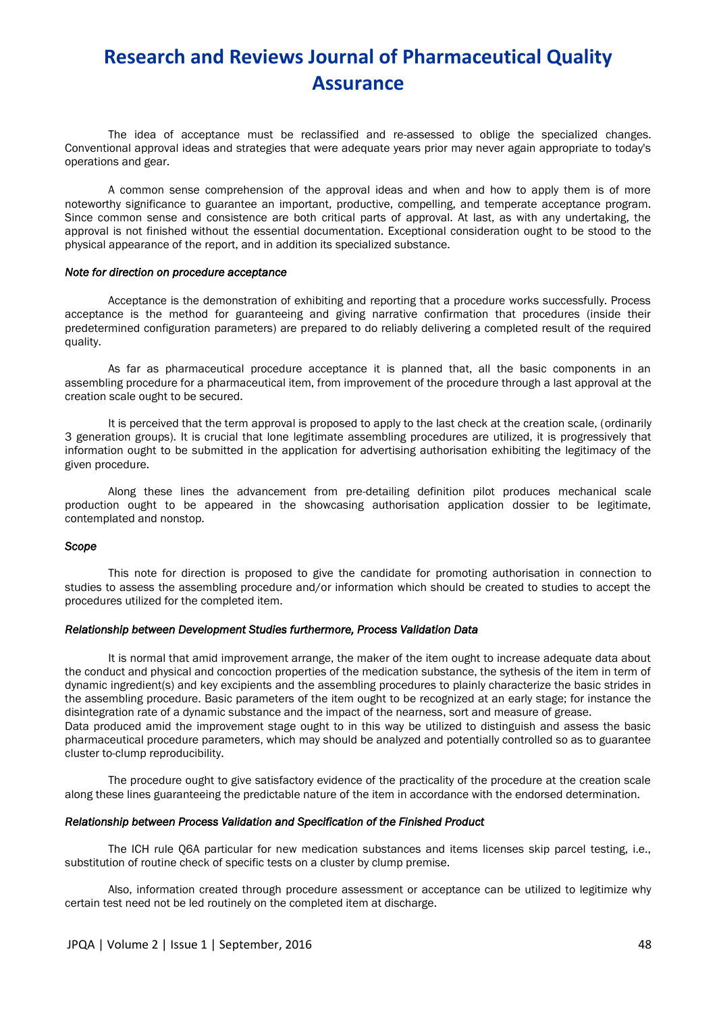The idea of acceptance must be reclassified and re-assessed to oblige the specialized changes. Conventional approval ideas and strategies that were adequate years prior may never again appropriate to today's operations and gear.

A common sense comprehension of the approval ideas and when and how to apply them is of more noteworthy significance to guarantee an important, productive, compelling, and temperate acceptance program. Since common sense and consistence are both critical parts of approval. At last, as with any undertaking, the approval is not finished without the essential documentation. Exceptional consideration ought to be stood to the physical appearance of the report, and in addition its specialized substance.

#### *Note for direction on procedure acceptance*

Acceptance is the demonstration of exhibiting and reporting that a procedure works successfully. Process acceptance is the method for guaranteeing and giving narrative confirmation that procedures (inside their predetermined configuration parameters) are prepared to do reliably delivering a completed result of the required quality.

As far as pharmaceutical procedure acceptance it is planned that, all the basic components in an assembling procedure for a pharmaceutical item, from improvement of the procedure through a last approval at the creation scale ought to be secured.

It is perceived that the term approval is proposed to apply to the last check at the creation scale, (ordinarily 3 generation groups). It is crucial that lone legitimate assembling procedures are utilized, it is progressively that information ought to be submitted in the application for advertising authorisation exhibiting the legitimacy of the given procedure.

Along these lines the advancement from pre-detailing definition pilot produces mechanical scale production ought to be appeared in the showcasing authorisation application dossier to be legitimate, contemplated and nonstop.

#### *Scope*

This note for direction is proposed to give the candidate for promoting authorisation in connection to studies to assess the assembling procedure and/or information which should be created to studies to accept the procedures utilized for the completed item.

### *Relationship between Development Studies furthermore, Process Validation Data*

It is normal that amid improvement arrange, the maker of the item ought to increase adequate data about the conduct and physical and concoction properties of the medication substance, the sythesis of the item in term of dynamic ingredient(s) and key excipients and the assembling procedures to plainly characterize the basic strides in the assembling procedure. Basic parameters of the item ought to be recognized at an early stage; for instance the disintegration rate of a dynamic substance and the impact of the nearness, sort and measure of grease. Data produced amid the improvement stage ought to in this way be utilized to distinguish and assess the basic pharmaceutical procedure parameters, which may should be analyzed and potentially controlled so as to guarantee cluster to-clump reproducibility.

The procedure ought to give satisfactory evidence of the practicality of the procedure at the creation scale along these lines guaranteeing the predictable nature of the item in accordance with the endorsed determination.

### *Relationship between Process Validation and Specification of the Finished Product*

The ICH rule Q6A particular for new medication substances and items licenses skip parcel testing, i.e., substitution of routine check of specific tests on a cluster by clump premise.

Also, information created through procedure assessment or acceptance can be utilized to legitimize why certain test need not be led routinely on the completed item at discharge.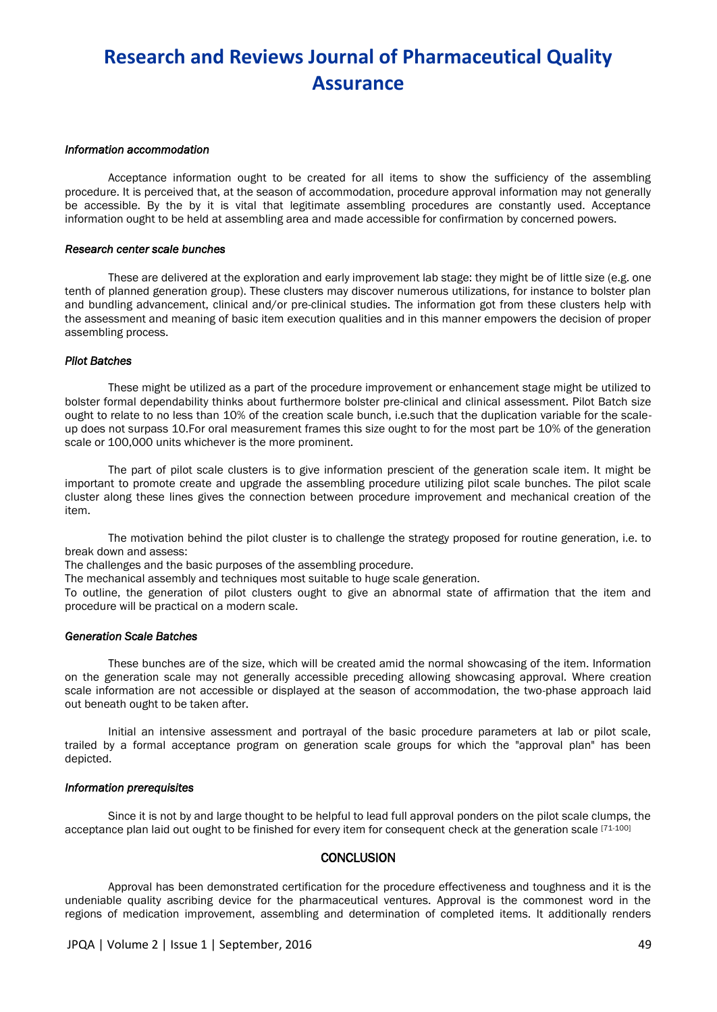#### *Information accommodation*

Acceptance information ought to be created for all items to show the sufficiency of the assembling procedure. It is perceived that, at the season of accommodation, procedure approval information may not generally be accessible. By the by it is vital that legitimate assembling procedures are constantly used. Acceptance information ought to be held at assembling area and made accessible for confirmation by concerned powers.

#### *Research center scale bunches*

These are delivered at the exploration and early improvement lab stage: they might be of little size (e.g. one tenth of planned generation group). These clusters may discover numerous utilizations, for instance to bolster plan and bundling advancement, clinical and/or pre-clinical studies. The information got from these clusters help with the assessment and meaning of basic item execution qualities and in this manner empowers the decision of proper assembling process.

#### *Pilot Batches*

These might be utilized as a part of the procedure improvement or enhancement stage might be utilized to bolster formal dependability thinks about furthermore bolster pre-clinical and clinical assessment. Pilot Batch size ought to relate to no less than 10% of the creation scale bunch, i.e.such that the duplication variable for the scaleup does not surpass 10.For oral measurement frames this size ought to for the most part be 10% of the generation scale or 100,000 units whichever is the more prominent.

The part of pilot scale clusters is to give information prescient of the generation scale item. It might be important to promote create and upgrade the assembling procedure utilizing pilot scale bunches. The pilot scale cluster along these lines gives the connection between procedure improvement and mechanical creation of the item.

The motivation behind the pilot cluster is to challenge the strategy proposed for routine generation, i.e. to break down and assess:

The challenges and the basic purposes of the assembling procedure.

The mechanical assembly and techniques most suitable to huge scale generation.

To outline, the generation of pilot clusters ought to give an abnormal state of affirmation that the item and procedure will be practical on a modern scale.

#### *Generation Scale Batches*

These bunches are of the size, which will be created amid the normal showcasing of the item. Information on the generation scale may not generally accessible preceding allowing showcasing approval. Where creation scale information are not accessible or displayed at the season of accommodation, the two-phase approach laid out beneath ought to be taken after.

Initial an intensive assessment and portrayal of the basic procedure parameters at lab or pilot scale, trailed by a formal acceptance program on generation scale groups for which the "approval plan" has been depicted.

#### *Information prerequisites*

Since it is not by and large thought to be helpful to lead full approval ponders on the pilot scale clumps, the acceptance plan laid out ought to be finished for every item for consequent check at the generation scale [71-100]

#### **CONCLUSION**

Approval has been demonstrated certification for the procedure effectiveness and toughness and it is the undeniable quality ascribing device for the pharmaceutical ventures. Approval is the commonest word in the regions of medication improvement, assembling and determination of completed items. It additionally renders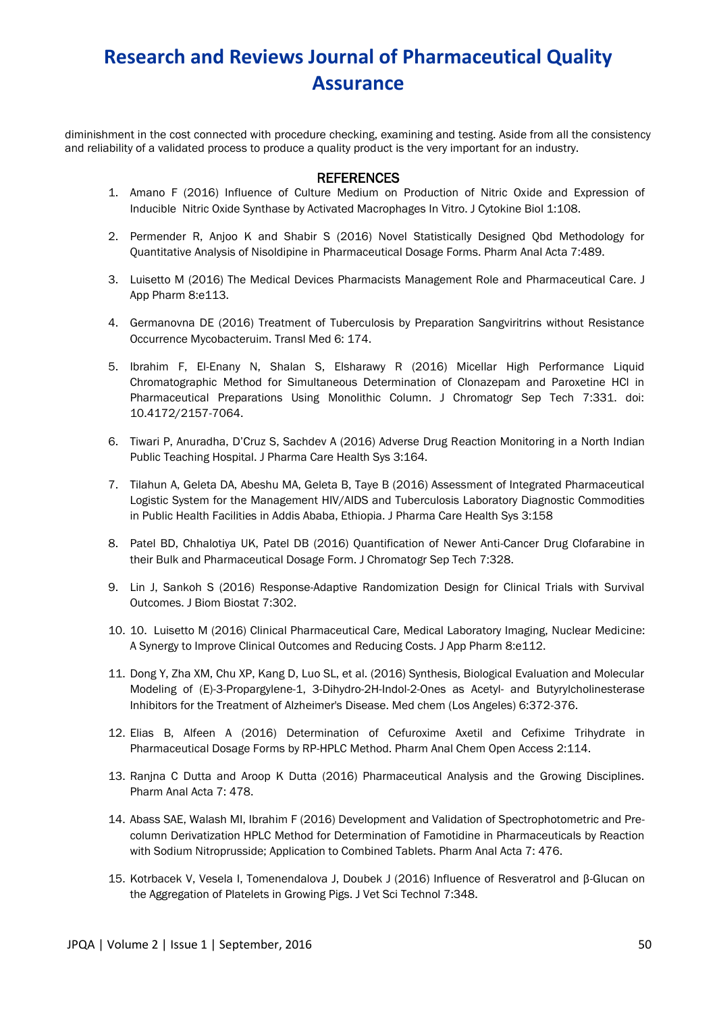diminishment in the cost connected with procedure checking, examining and testing. Aside from all the consistency and reliability of a validated process to produce a quality product is the very important for an industry.

### **REFERENCES**

- 1. Amano F (2016) Influence of Culture Medium on Production of Nitric Oxide and Expression of Inducible Nitric Oxide Synthase by Activated Macrophages In Vitro. J Cytokine Biol 1:108.
- 2. Permender R, Anjoo K and Shabir S (2016) Novel Statistically Designed Qbd Methodology for Quantitative Analysis of Nisoldipine in Pharmaceutical Dosage Forms. Pharm Anal Acta 7:489.
- 3. Luisetto M (2016) The Medical Devices Pharmacists Management Role and Pharmaceutical Care. J App Pharm 8:e113.
- 4. Germanovna DE (2016) Treatment of Tuberculosis by Preparation Sangviritrins without Resistance Occurrence Mycobacteruim. Transl Med 6: 174.
- 5. Ibrahim F, El-Enany N, Shalan S, Elsharawy R (2016) Micellar High Performance Liquid Chromatographic Method for Simultaneous Determination of Clonazepam and Paroxetine HCl in Pharmaceutical Preparations Using Monolithic Column. J Chromatogr Sep Tech 7:331. doi: 10.4172/2157-7064.
- 6. Tiwari P, Anuradha, D'Cruz S, Sachdev A (2016) Adverse Drug Reaction Monitoring in a North Indian Public Teaching Hospital. J Pharma Care Health Sys 3:164.
- 7. Tilahun A, Geleta DA, Abeshu MA, Geleta B, Taye B (2016) Assessment of Integrated Pharmaceutical Logistic System for the Management HIV/AIDS and Tuberculosis Laboratory Diagnostic Commodities in Public Health Facilities in Addis Ababa, Ethiopia. J Pharma Care Health Sys 3:158
- 8. Patel BD, Chhalotiya UK, Patel DB (2016) Quantification of Newer Anti-Cancer Drug Clofarabine in their Bulk and Pharmaceutical Dosage Form. J Chromatogr Sep Tech 7:328.
- 9. Lin J, Sankoh S (2016) Response-Adaptive Randomization Design for Clinical Trials with Survival Outcomes. J Biom Biostat 7:302.
- 10. 10. Luisetto M (2016) Clinical Pharmaceutical Care, Medical Laboratory Imaging, Nuclear Medicine: A Synergy to Improve Clinical Outcomes and Reducing Costs. J App Pharm 8:e112.
- 11. Dong Y, Zha XM, Chu XP, Kang D, Luo SL, et al. (2016) Synthesis, Biological Evaluation and Molecular Modeling of (E)-3-Propargylene-1, 3-Dihydro-2H-Indol-2-Ones as Acetyl- and Butyrylcholinesterase Inhibitors for the Treatment of Alzheimer's Disease. Med chem (Los Angeles) 6:372-376.
- 12. Elias B, Alfeen A (2016) Determination of Cefuroxime Axetil and Cefixime Trihydrate in Pharmaceutical Dosage Forms by RP-HPLC Method. Pharm Anal Chem Open Access 2:114.
- 13. Ranjna C Dutta and Aroop K Dutta (2016) Pharmaceutical Analysis and the Growing Disciplines. Pharm Anal Acta 7: 478.
- 14. Abass SAE, Walash MI, Ibrahim F (2016) Development and Validation of Spectrophotometric and Precolumn Derivatization HPLC Method for Determination of Famotidine in Pharmaceuticals by Reaction with Sodium Nitroprusside; Application to Combined Tablets. Pharm Anal Acta 7: 476.
- 15. Kotrbacek V, Vesela I, Tomenendalova J, Doubek J (2016) Influence of Resveratrol and β-Glucan on the Aggregation of Platelets in Growing Pigs. J Vet Sci Technol 7:348.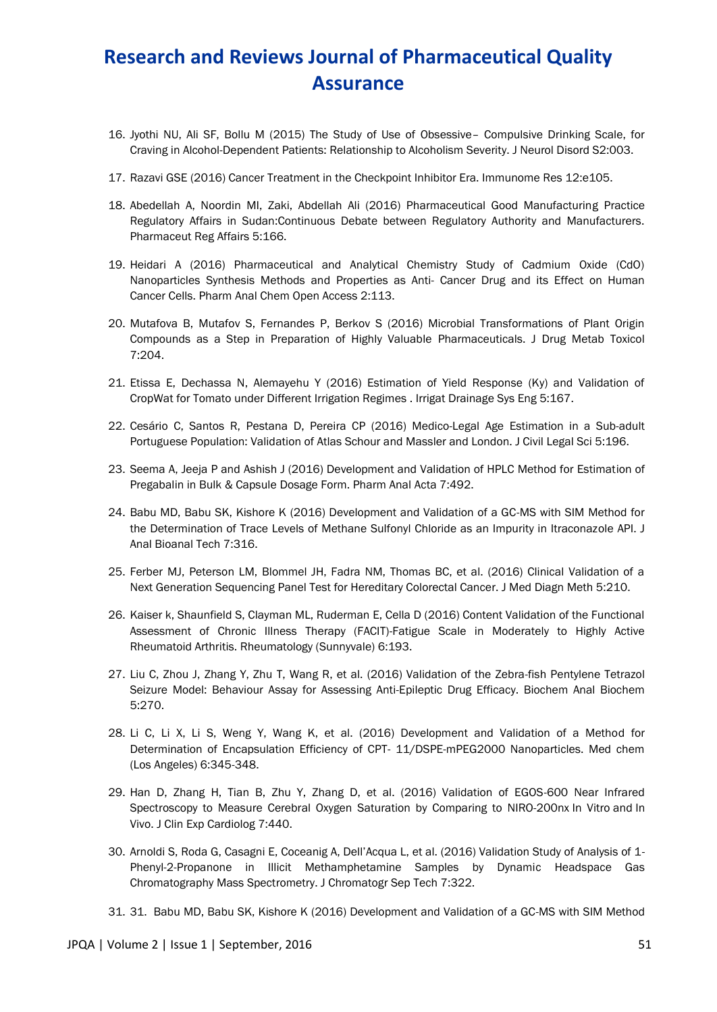- 16. Jyothi NU, Ali SF, Bollu M (2015) The Study of Use of Obsessive– Compulsive Drinking Scale, for Craving in Alcohol-Dependent Patients: Relationship to Alcoholism Severity. J Neurol Disord S2:003.
- 17. Razavi GSE (2016) Cancer Treatment in the Checkpoint Inhibitor Era. Immunome Res 12:e105.
- 18. Abedellah A, Noordin MI, Zaki, Abdellah Ali (2016) Pharmaceutical Good Manufacturing Practice Regulatory Affairs in Sudan:Continuous Debate between Regulatory Authority and Manufacturers. Pharmaceut Reg Affairs 5:166.
- 19. Heidari A (2016) Pharmaceutical and Analytical Chemistry Study of Cadmium Oxide (CdO) Nanoparticles Synthesis Methods and Properties as Anti- Cancer Drug and its Effect on Human Cancer Cells. Pharm Anal Chem Open Access 2:113.
- 20. Mutafova B, Mutafov S, Fernandes P, Berkov S (2016) Microbial Transformations of Plant Origin Compounds as a Step in Preparation of Highly Valuable Pharmaceuticals. J Drug Metab Toxicol 7:204.
- 21. Etissa E, Dechassa N, Alemayehu Y (2016) Estimation of Yield Response (Ky) and Validation of CropWat for Tomato under Different Irrigation Regimes . Irrigat Drainage Sys Eng 5:167.
- 22. Cesário C, Santos R, Pestana D, Pereira CP (2016) Medico-Legal Age Estimation in a Sub-adult Portuguese Population: Validation of Atlas Schour and Massler and London. J Civil Legal Sci 5:196.
- 23. Seema A, Jeeja P and Ashish J (2016) Development and Validation of HPLC Method for Estimation of Pregabalin in Bulk & Capsule Dosage Form. Pharm Anal Acta 7:492.
- 24. Babu MD, Babu SK, Kishore K (2016) Development and Validation of a GC-MS with SIM Method for the Determination of Trace Levels of Methane Sulfonyl Chloride as an Impurity in Itraconazole API. J Anal Bioanal Tech 7:316.
- 25. Ferber MJ, Peterson LM, Blommel JH, Fadra NM, Thomas BC, et al. (2016) Clinical Validation of a Next Generation Sequencing Panel Test for Hereditary Colorectal Cancer. J Med Diagn Meth 5:210.
- 26. Kaiser k, Shaunfield S, Clayman ML, Ruderman E, Cella D (2016) Content Validation of the Functional Assessment of Chronic Illness Therapy (FACIT)-Fatigue Scale in Moderately to Highly Active Rheumatoid Arthritis. Rheumatology (Sunnyvale) 6:193.
- 27. Liu C, Zhou J, Zhang Y, Zhu T, Wang R, et al. (2016) Validation of the Zebra-fish Pentylene Tetrazol Seizure Model: Behaviour Assay for Assessing Anti-Epileptic Drug Efficacy. Biochem Anal Biochem 5:270.
- 28. Li C, Li X, Li S, Weng Y, Wang K, et al. (2016) Development and Validation of a Method for Determination of Encapsulation Efficiency of CPT- 11/DSPE-mPEG2000 Nanoparticles. Med chem (Los Angeles) 6:345-348.
- 29. Han D, Zhang H, Tian B, Zhu Y, Zhang D, et al. (2016) Validation of EGOS-600 Near Infrared Spectroscopy to Measure Cerebral Oxygen Saturation by Comparing to NIRO-200nx In Vitro and In Vivo. J Clin Exp Cardiolog 7:440.
- 30. Arnoldi S, Roda G, Casagni E, Coceanig A, Dell'Acqua L, et al. (2016) Validation Study of Analysis of 1- Phenyl-2-Propanone in Illicit Methamphetamine Samples by Dynamic Headspace Gas Chromatography Mass Spectrometry. J Chromatogr Sep Tech 7:322.
- 31. 31. Babu MD, Babu SK, Kishore K (2016) Development and Validation of a GC-MS with SIM Method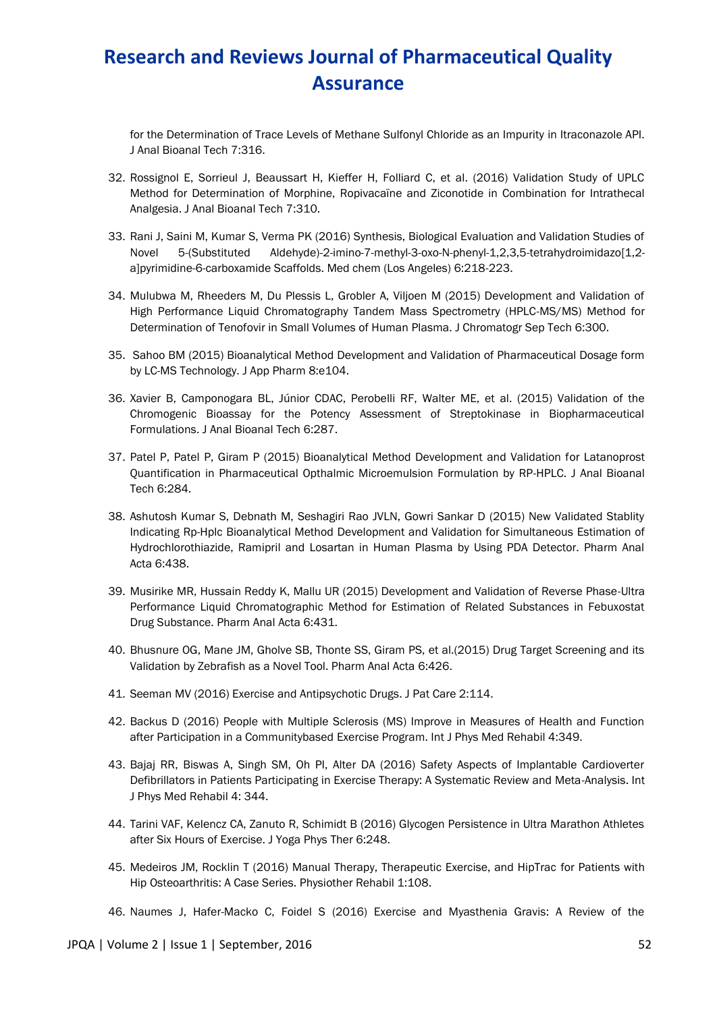for the Determination of Trace Levels of Methane Sulfonyl Chloride as an Impurity in Itraconazole API. J Anal Bioanal Tech 7:316.

- 32. Rossignol E, Sorrieul J, Beaussart H, Kieffer H, Folliard C, et al. (2016) Validation Study of UPLC Method for Determination of Morphine, Ropivacaïne and Ziconotide in Combination for Intrathecal Analgesia. J Anal Bioanal Tech 7:310.
- 33. Rani J, Saini M, Kumar S, Verma PK (2016) Synthesis, Biological Evaluation and Validation Studies of Novel 5-(Substituted Aldehyde)-2-imino-7-methyl-3-oxo-N-phenyl-1,2,3,5-tetrahydroimidazo[1,2 a]pyrimidine-6-carboxamide Scaffolds. Med chem (Los Angeles) 6:218-223.
- 34. Mulubwa M, Rheeders M, Du Plessis L, Grobler A, Viljoen M (2015) Development and Validation of High Performance Liquid Chromatography Tandem Mass Spectrometry (HPLC-MS/MS) Method for Determination of Tenofovir in Small Volumes of Human Plasma. J Chromatogr Sep Tech 6:300.
- 35. Sahoo BM (2015) Bioanalytical Method Development and Validation of Pharmaceutical Dosage form by LC-MS Technology. J App Pharm 8:e104.
- 36. Xavier B, Camponogara BL, Júnior CDAC, Perobelli RF, Walter ME, et al. (2015) Validation of the Chromogenic Bioassay for the Potency Assessment of Streptokinase in Biopharmaceutical Formulations. J Anal Bioanal Tech 6:287.
- 37. Patel P, Patel P, Giram P (2015) Bioanalytical Method Development and Validation for Latanoprost Quantification in Pharmaceutical Opthalmic Microemulsion Formulation by RP-HPLC. J Anal Bioanal Tech 6:284.
- 38. Ashutosh Kumar S, Debnath M, Seshagiri Rao JVLN, Gowri Sankar D (2015) New Validated Stablity Indicating Rp-Hplc Bioanalytical Method Development and Validation for Simultaneous Estimation of Hydrochlorothiazide, Ramipril and Losartan in Human Plasma by Using PDA Detector. Pharm Anal Acta 6:438.
- 39. Musirike MR, Hussain Reddy K, Mallu UR (2015) Development and Validation of Reverse Phase-Ultra Performance Liquid Chromatographic Method for Estimation of Related Substances in Febuxostat Drug Substance. Pharm Anal Acta 6:431.
- 40. Bhusnure OG, Mane JM, Gholve SB, Thonte SS, Giram PS, et al.(2015) Drug Target Screening and its Validation by Zebrafish as a Novel Tool. Pharm Anal Acta 6:426.
- 41. Seeman MV (2016) Exercise and Antipsychotic Drugs. J Pat Care 2:114.
- 42. Backus D (2016) People with Multiple Sclerosis (MS) Improve in Measures of Health and Function after Participation in a Communitybased Exercise Program. Int J Phys Med Rehabil 4:349.
- 43. Bajaj RR, Biswas A, Singh SM, Oh PI, Alter DA (2016) Safety Aspects of Implantable Cardioverter Defibrillators in Patients Participating in Exercise Therapy: A Systematic Review and Meta-Analysis. Int J Phys Med Rehabil 4: 344.
- 44. Tarini VAF, Kelencz CA, Zanuto R, Schimidt B (2016) Glycogen Persistence in Ultra Marathon Athletes after Six Hours of Exercise. J Yoga Phys Ther 6:248.
- 45. Medeiros JM, Rocklin T (2016) Manual Therapy, Therapeutic Exercise, and HipTrac for Patients with Hip Osteoarthritis: A Case Series. Physiother Rehabil 1:108.
- 46. Naumes J, Hafer-Macko C, Foidel S (2016) Exercise and Myasthenia Gravis: A Review of the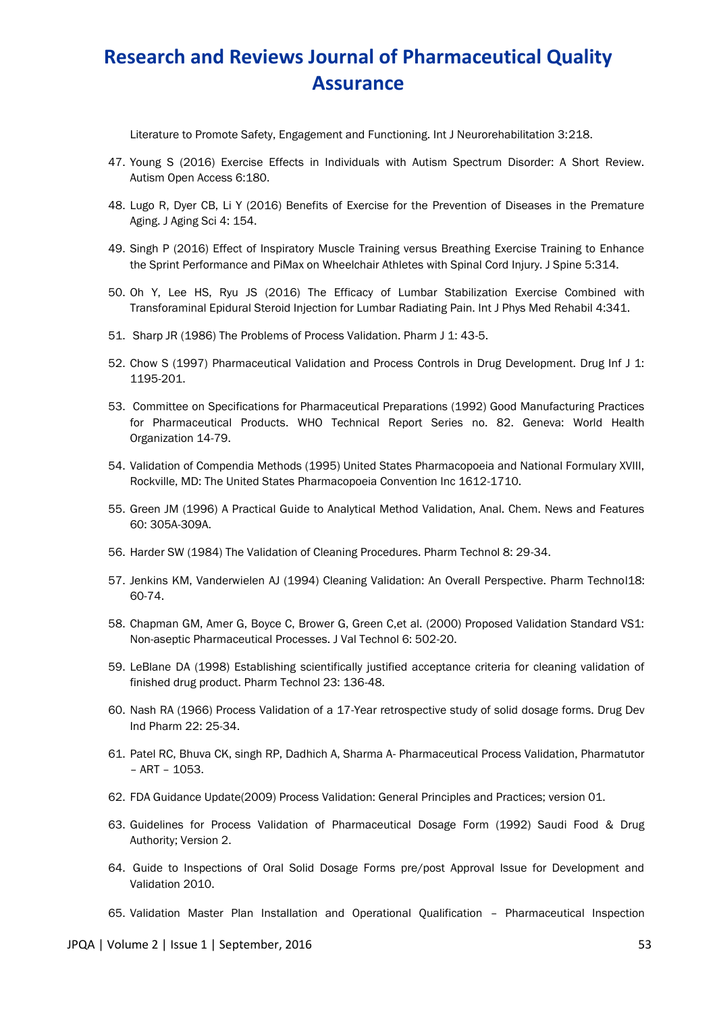Literature to Promote Safety, Engagement and Functioning. Int J Neurorehabilitation 3:218.

- 47. Young S (2016) Exercise Effects in Individuals with Autism Spectrum Disorder: A Short Review. Autism Open Access 6:180.
- 48. Lugo R, Dyer CB, Li Y (2016) Benefits of Exercise for the Prevention of Diseases in the Premature Aging. J Aging Sci 4: 154.
- 49. Singh P (2016) Effect of Inspiratory Muscle Training versus Breathing Exercise Training to Enhance the Sprint Performance and PiMax on Wheelchair Athletes with Spinal Cord Injury. J Spine 5:314.
- 50. Oh Y, Lee HS, Ryu JS (2016) The Efficacy of Lumbar Stabilization Exercise Combined with Transforaminal Epidural Steroid Injection for Lumbar Radiating Pain. Int J Phys Med Rehabil 4:341.
- 51. Sharp JR (1986) The Problems of Process Validation. Pharm J 1: 43-5.
- 52. Chow S (1997) Pharmaceutical Validation and Process Controls in Drug Development. Drug Inf J 1: 1195-201.
- 53. Committee on Specifications for Pharmaceutical Preparations (1992) Good Manufacturing Practices for Pharmaceutical Products. WHO Technical Report Series no. 82. Geneva: World Health Organization 14-79.
- 54. Validation of Compendia Methods (1995) United States Pharmacopoeia and National Formulary XVIII, Rockville, MD: The United States Pharmacopoeia Convention Inc 1612-1710.
- 55. Green JM (1996) A Practical Guide to Analytical Method Validation, Anal. Chem. News and Features 60: 305A-309A.
- 56. Harder SW (1984) The Validation of Cleaning Procedures. Pharm Technol 8: 29-34.
- 57. Jenkins KM, Vanderwielen AJ (1994) Cleaning Validation: An Overall Perspective. Pharm Technol18: 60-74.
- 58. Chapman GM, Amer G, Boyce C, Brower G, Green C,et al. (2000) Proposed Validation Standard VS1: Non-aseptic Pharmaceutical Processes. J Val Technol 6: 502-20.
- 59. LeBlane DA (1998) Establishing scientifically justified acceptance criteria for cleaning validation of finished drug product. Pharm Technol 23: 136-48.
- 60. Nash RA (1966) Process Validation of a 17-Year retrospective study of solid dosage forms. Drug Dev Ind Pharm 22: 25-34.
- 61. Patel RC, Bhuva CK, singh RP, Dadhich A, Sharma A- Pharmaceutical Process Validation, Pharmatutor – ART – 1053.
- 62. FDA Guidance Update(2009) Process Validation: General Principles and Practices; version 01.
- 63. Guidelines for Process Validation of Pharmaceutical Dosage Form (1992) Saudi Food & Drug Authority; Version 2.
- 64. Guide to Inspections of Oral Solid Dosage Forms pre/post Approval Issue for Development and Validation 2010.

65. Validation Master Plan Installation and Operational Qualification – Pharmaceutical Inspection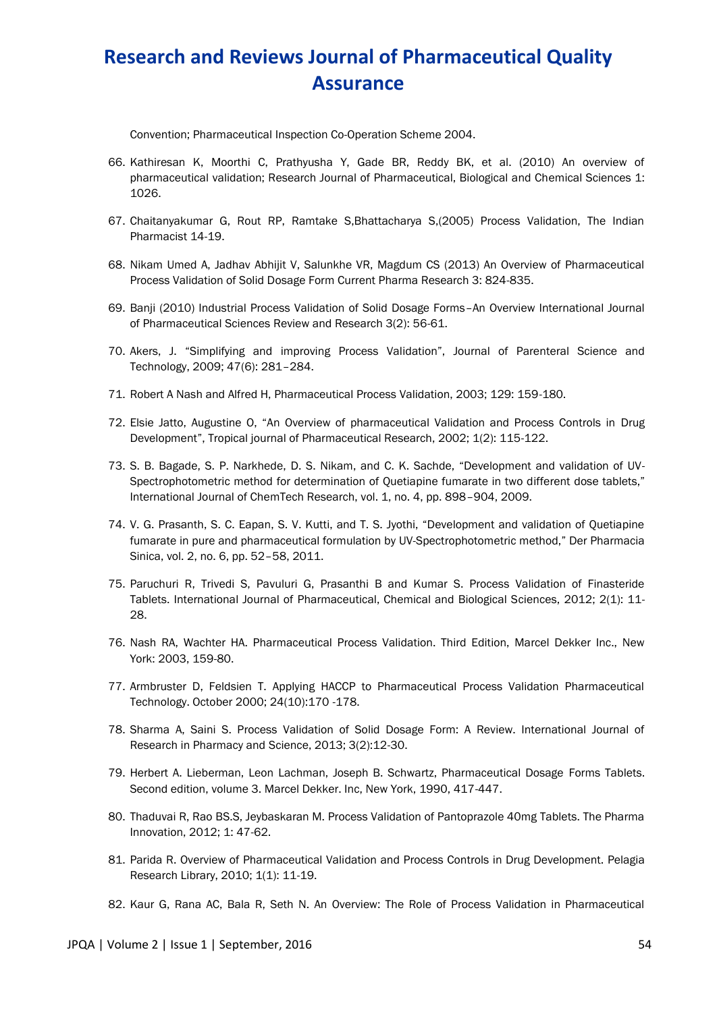Convention; Pharmaceutical Inspection Co-Operation Scheme 2004.

- 66. Kathiresan K, Moorthi C, Prathyusha Y, Gade BR, Reddy BK, et al. (2010) An overview of pharmaceutical validation; Research Journal of Pharmaceutical, Biological and Chemical Sciences 1: 1026.
- 67. Chaitanyakumar G, Rout RP, Ramtake S,Bhattacharya S,(2005) Process Validation, The Indian Pharmacist 14-19.
- 68. Nikam Umed A, Jadhav Abhijit V, Salunkhe VR, Magdum CS (2013) An Overview of Pharmaceutical Process Validation of Solid Dosage Form Current Pharma Research 3: 824-835.
- 69. Banji (2010) Industrial Process Validation of Solid Dosage Forms–An Overview International Journal of Pharmaceutical Sciences Review and Research 3(2): 56-61.
- 70. Akers, J. "Simplifying and improving Process Validation", Journal of Parenteral Science and Technology, 2009; 47(6): 281–284.
- 71. Robert A Nash and Alfred H, Pharmaceutical Process Validation, 2003; 129: 159-180.
- 72. Elsie Jatto, Augustine O, "An Overview of pharmaceutical Validation and Process Controls in Drug Development", Tropical journal of Pharmaceutical Research, 2002; 1(2): 115-122.
- 73. S. B. Bagade, S. P. Narkhede, D. S. Nikam, and C. K. Sachde, "Development and validation of UV-Spectrophotometric method for determination of Quetiapine fumarate in two different dose tablets," International Journal of ChemTech Research, vol. 1, no. 4, pp. 898–904, 2009.
- 74. V. G. Prasanth, S. C. Eapan, S. V. Kutti, and T. S. Jyothi, "Development and validation of Quetiapine fumarate in pure and pharmaceutical formulation by UV-Spectrophotometric method," Der Pharmacia Sinica, vol. 2, no. 6, pp. 52–58, 2011.
- 75. Paruchuri R, Trivedi S, Pavuluri G, Prasanthi B and Kumar S. Process Validation of Finasteride Tablets. International Journal of Pharmaceutical, Chemical and Biological Sciences, 2012; 2(1): 11- 28.
- 76. Nash RA, Wachter HA. Pharmaceutical Process Validation. Third Edition, Marcel Dekker Inc., New York: 2003, 159-80.
- 77. Armbruster D, Feldsien T. Applying HACCP to Pharmaceutical Process Validation Pharmaceutical Technology. October 2000; 24(10):170 -178.
- 78. Sharma A, Saini S. Process Validation of Solid Dosage Form: A Review. International Journal of Research in Pharmacy and Science, 2013; 3(2):12-30.
- 79. Herbert A. Lieberman, Leon Lachman, Joseph B. Schwartz, Pharmaceutical Dosage Forms Tablets. Second edition, volume 3. Marcel Dekker. Inc, New York, 1990, 417-447.
- 80. Thaduvai R, Rao BS.S, Jeybaskaran M. Process Validation of Pantoprazole 40mg Tablets. The Pharma Innovation, 2012; 1: 47-62.
- 81. Parida R. Overview of Pharmaceutical Validation and Process Controls in Drug Development. Pelagia Research Library, 2010; 1(1): 11-19.
- 82. Kaur G, Rana AC, Bala R, Seth N. An Overview: The Role of Process Validation in Pharmaceutical